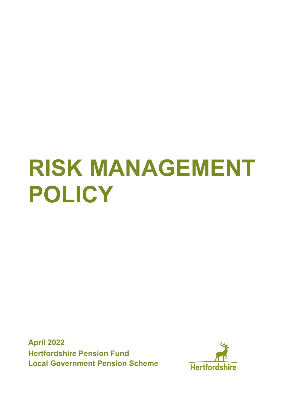# **RISK MANAGEMENT POLICY**

**April 2022 Hertfordshire Pension Fund Local Government Pension Scheme**

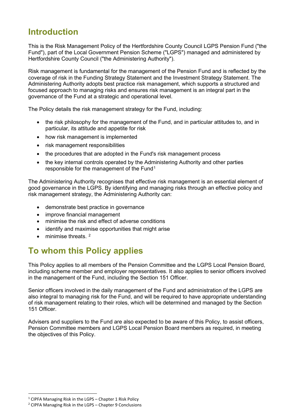## **Introduction**

This is the Risk Management Policy of the Hertfordshire County Council LGPS Pension Fund ("the Fund"), part of the Local Government Pension Scheme ("LGPS") managed and administered by Hertfordshire County Council ("the Administering Authority").

Risk management is fundamental for the management of the Pension Fund and is reflected by the coverage of risk in the Funding Strategy Statement and the Investment Strategy Statement. The Administering Authority adopts best practice risk management, which supports a structured and focused approach to managing risks and ensures risk management is an integral part in the governance of the Fund at a strategic and operational level.

The Policy details the risk management strategy for the Fund, including:

- the risk philosophy for the management of the Fund, and in particular attitudes to, and in particular, its attitude and appetite for risk
- how risk management is implemented
- risk management responsibilities
- the procedures that are adopted in the Fund's risk management process
- the key internal controls operated by the Administering Authority and other parties responsible for the management of the Fund<sup>[1](#page-1-0)</sup>

The Administering Authority recognises that effective risk management is an essential element of good governance in the LGPS. By identifying and managing risks through an effective policy and risk management strategy, the Administering Authority can:

- demonstrate best practice in governance
- improve financial management
- minimise the risk and effect of adverse conditions
- identify and maximise opportunities that might arise
- minimise threats.<sup>[2](#page-1-1)</sup>

## **To whom this Policy applies**

This Policy applies to all members of the Pension Committee and the LGPS Local Pension Board, including scheme member and employer representatives. It also applies to senior officers involved in the management of the Fund, including the Section 151 Officer.

Senior officers involved in the daily management of the Fund and administration of the LGPS are also integral to managing risk for the Fund, and will be required to have appropriate understanding of risk management relating to their roles, which will be determined and managed by the Section 151 Officer.

Advisers and suppliers to the Fund are also expected to be aware of this Policy, to assist officers, Pension Committee members and LGPS Local Pension Board members as required, in meeting the objectives of this Policy.

<span id="page-1-0"></span><sup>&</sup>lt;sup>1</sup> CIPFA Managing Risk in the LGPS – Chapter 1 Risk Policy

<span id="page-1-1"></span> $2$  CIPFA Managing Risk in the LGPS – Chapter 9 Conclusions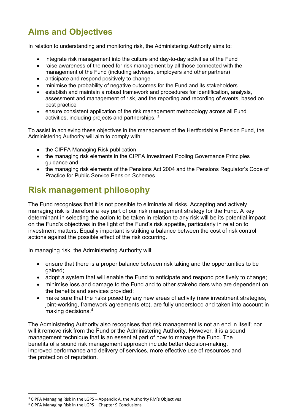# **Aims and Objectives**

In relation to understanding and monitoring risk, the Administering Authority aims to:

- integrate risk management into the culture and day-to-day activities of the Fund
- raise awareness of the need for risk management by all those connected with the management of the Fund (including advisers, employers and other partners)
- anticipate and respond positively to change
- minimise the probability of negative outcomes for the Fund and its stakeholders
- establish and maintain a robust framework and procedures for identification, analysis, assessment and management of risk, and the reporting and recording of events, based on best practice
- ensure consistent application of the risk management methodology across all Fund activities, including projects and partnerships. [3](#page-2-0)

To assist in achieving these objectives in the management of the Hertfordshire Pension Fund, the Administering Authority will aim to comply with:

- the CIPFA Managing Risk publication
- the managing risk elements in the CIPFA Investment Pooling Governance Principles guidance and
- the managing risk elements of the Pensions Act 2004 and the Pensions Regulator's Code of Practice for Public Service Pension Schemes.

## **Risk management philosophy**

The Fund recognises that it is not possible to eliminate all risks. Accepting and actively managing risk is therefore a key part of our risk management strategy for the Fund. A key determinant in selecting the action to be taken in relation to any risk will be its potential impact on the Fund's objectives in the light of the Fund's risk appetite, particularly in relation to investment matters. Equally important is striking a balance between the cost of risk control actions against the possible effect of the risk occurring.

In managing risk, the Administering Authority will:

- ensure that there is a proper balance between risk taking and the opportunities to be gained;
- adopt a system that will enable the Fund to anticipate and respond positively to change;
- minimise loss and damage to the Fund and to other stakeholders who are dependent on the benefits and services provided;
- make sure that the risks posed by any new areas of activity (new investment strategies, joint-working, framework agreements etc), are fully understood and taken into account in making decisions.[4](#page-2-1)

The Administering Authority also recognises that risk management is not an end in itself; nor will it remove risk from the Fund or the Administering Authority. However, it is a sound management technique that is an essential part of how to manage the Fund. The benefits of a sound risk management approach include better decision-making, improved performance and delivery of services, more effective use of resources and the protection of reputation.

<span id="page-2-0"></span><sup>&</sup>lt;sup>3</sup> CIPFA Managing Risk in the LGPS - Appendix A, the Authority RM's Objectives

<span id="page-2-1"></span><sup>4</sup> CIPFA Managing Risk in the LGPS – Chapter 9 Conclusions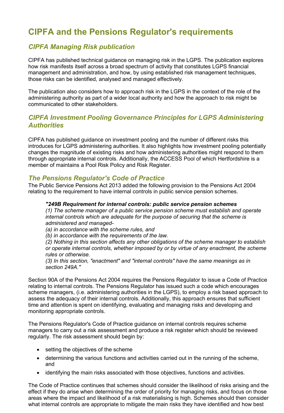## **CIPFA and the Pensions Regulator's requirements**

## *CIPFA Managing Risk publication*

CIPFA has published technical guidance on managing risk in the LGPS. The publication explores how risk manifests itself across a broad spectrum of activity that constitutes LGPS financial management and administration, and how, by using established risk management techniques, those risks can be identified, analysed and managed effectively.

The publication also considers how to approach risk in the LGPS in the context of the role of the administering authority as part of a wider local authority and how the approach to risk might be communicated to other stakeholders.

## *CIPFA Investment Pooling Governance Principles for LGPS Administering Authorities*

CIPFA has published guidance on investment pooling and the number of different risks this introduces for LGPS administering authorities. It also highlights how investment pooling potentially changes the magnitude of existing risks and how administering authorities might respond to them through appropriate internal controls. Additionally, the ACCESS Pool of which Hertfordshire is a member of maintains a Pool Risk Policy and Risk Register.

#### *The Pensions Regulator's Code of Practice*

The Public Service Pensions Act 2013 added the following provision to the Pensions Act 2004 relating to the requirement to have internal controls in public service pension schemes.

#### *"249B Requirement for internal controls: public service pension schemes*

*(1) The scheme manager of a public service pension scheme must establish and operate internal controls which are adequate for the purpose of securing that the scheme is administered and managed-*

*(a) in accordance with the scheme rules, and* 

*(b) in accordance with the requirements of the law.* 

*(2) Nothing in this section affects any other obligations of the scheme manager to establish or operate internal controls, whether imposed by or by virtue of any enactment, the scheme rules or otherwise.* 

*(3) In this section, "enactment" and "internal controls" have the same meanings as in section 249A."* 

Section 90A of the Pensions Act 2004 requires the Pensions Regulator to issue a Code of Practice relating to internal controls. The Pensions Regulator has issued such a code which encourages scheme managers, (i.e. administering authorities in the LGPS), to employ a risk based approach to assess the adequacy of their internal controls. Additionally, this approach ensures that sufficient time and attention is spent on identifying, evaluating and managing risks and developing and monitoring appropriate controls.

The Pensions Regulator's Code of Practice guidance on internal controls requires scheme managers to carry out a risk assessment and produce a risk register which should be reviewed regularly. The risk assessment should begin by:

- setting the objectives of the scheme
- determining the various functions and activities carried out in the running of the scheme, and
- identifying the main risks associated with those objectives, functions and activities.

The Code of Practice continues that schemes should consider the likelihood of risks arising and the effect if they do arise when determining the order of priority for managing risks, and focus on those areas where the impact and likelihood of a risk materialising is high. Schemes should then consider what internal controls are appropriate to mitigate the main risks they have identified and how best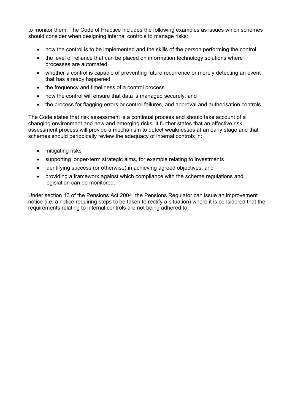to monitor them. The Code of Practice includes the following examples as issues which schemes should consider when designing internal controls to manage risks:

- how the control is to be implemented and the skills of the person performing the control
- the level of reliance that can be placed on information technology solutions where processes are automated
- whether a control is capable of preventing future recurrence or merely detecting an event that has already happened
- the frequency and timeliness of a control process
- how the control will ensure that data is managed securely, and
- the process for flagging errors or control failures, and approval and authorisation controls.

The Code states that risk assessment is a continual process and should take account of a changing environment and new and emerging risks. It further states that an effective risk assessment process will provide a mechanism to detect weaknesses at an early stage and that schemes should periodically review the adequacy of internal controls in:

- mitigating risks
- supporting longer-term strategic aims, for example relating to investments
- identifying success (or otherwise) in achieving agreed objectives, and
- providing a framework against which compliance with the scheme regulations and legislation can be monitored.

Under section 13 of the Pensions Act 2004, the Pensions Regulator can issue an improvement notice (i.e. a notice requiring steps to be taken to rectify a situation) where it is considered that the requirements relating to internal controls are not being adhered to.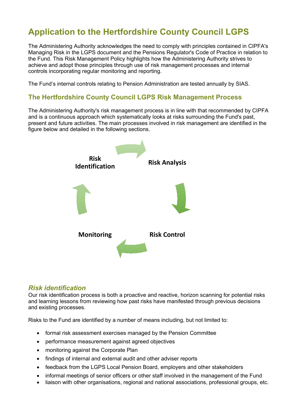## **Application to the Hertfordshire County Council LGPS**

The Administering Authority acknowledges the need to comply with principles contained in CIPFA's Managing Risk in the LGPS document and the Pensions Regulator's Code of Practice in relation to the Fund. This Risk Management Policy highlights how the Administering Authority strives to achieve and adopt those principles through use of risk management processes and internal controls incorporating regular monitoring and reporting.

The Fund's internal controls relating to Pension Administration are tested annually by SIAS.

#### **The Hertfordshire County Council LGPS Risk Management Process**

The Administering Authority's risk management process is in line with that recommended by CIPFA and is a continuous approach which systematically looks at risks surrounding the Fund's past, present and future activities. The main processes involved in risk management are identified in the figure below and detailed in the following sections.



#### *Risk identification*

Our risk identification process is both a proactive and reactive, horizon scanning for potential risks and learning lessons from reviewing how past risks have manifested through previous decisions and existing processes.

Risks to the Fund are identified by a number of means including, but not limited to:

- formal risk assessment exercises managed by the Pension Committee
- performance measurement against agreed objectives
- monitoring against the Corporate Plan
- findings of internal and external audit and other adviser reports
- feedback from the LGPS Local Pension Board, employers and other stakeholders
- informal meetings of senior officers or other staff involved in the management of the Fund
- liaison with other organisations, regional and national associations, professional groups, etc.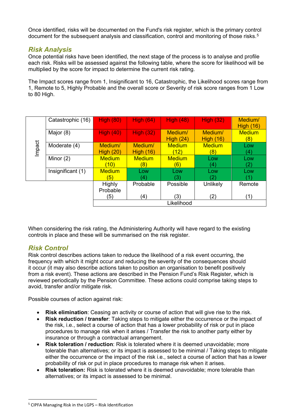Once identified, risks will be documented on the Fund's risk register, which is the primary control document for the subsequent analysis and classification, control and monitoring of those risks.<sup>[5](#page-6-0)</sup>

## *Risk Analysis*

Once potential risks have been identified, the next stage of the process is to analyse and profile each risk. Risks will be assessed against the following table, where the score for likelihood will be multiplied by the score for impact to determine the current risk rating.

The Impact scores range from 1, Insignificant to 16, Catastrophic, the Likelihood scores range from 1, Remote to 5, Highly Probable and the overall score or Severity of risk score ranges from 1 Low to 80 High.

|        | Catastrophic (16) | <b>High (80)</b>  | High(64)          | <b>High (48)</b> | <b>High (32)</b>  | Medium/       |
|--------|-------------------|-------------------|-------------------|------------------|-------------------|---------------|
| Impact |                   |                   |                   |                  |                   | High(16)      |
|        | Major (8)         | High $(40)$       | High (32)         | Medium/          | Medium/           | <b>Medium</b> |
|        |                   |                   |                   | High $(24)$      | <b>High (16)</b>  | (8)           |
|        | Moderate (4)      | Medium/           | Medium/           | <b>Medium</b>    | <b>Medium</b>     | Low           |
|        |                   | High $(20)$       | <b>High (16)</b>  | (12)             | (8)               | (4)           |
|        | Minor $(2)$       | <b>Medium</b>     | <b>Medium</b>     | <b>Medium</b>    | Low               | Low           |
|        |                   | (10)              | (8)               | (6)              | (4)               | (2)           |
|        | Insignificant (1) | <b>Medium</b>     | Low               | Low              | Low               | Low           |
|        |                   | $\left( 5\right)$ | $\left( 4\right)$ | (3)              | $\left( 2\right)$ |               |
|        |                   | Highly            | Probable          | Possible         | Unlikely          | Remote        |
|        |                   | Probable          |                   |                  |                   |               |
|        |                   | (5)               | (4)               | (3)              | (2)               | (1)           |
|        |                   | Likelihood        |                   |                  |                   |               |

When considering the risk rating, the Administering Authority will have regard to the existing controls in place and these will be summarised on the risk register.

## *Risk Control*

Risk control describes actions taken to reduce the likelihood of a risk event occurring, the frequency with which it might occur and reducing the severity of the consequences should it occur (it may also describe actions taken to position an organisation to benefit positively from a risk event). These actions are described in the Pension Fund's Risk Register, which is reviewed periodically by the Pension Committee. These actions could comprise taking steps to avoid, transfer and/or mitigate risk.

Possible courses of action against risk:

- **Risk elimination**: Ceasing an activity or course of action that will give rise to the risk.
- **Risk reduction / transfer**: Taking steps to mitigate either the occurrence or the impact of the risk, i.e., select a course of action that has a lower probability of risk or put in place procedures to manage risk when it arises / Transfer the risk to another party either by insurance or through a contractual arrangement.
- **Risk toleration / reduction**: Risk is tolerated where it is deemed unavoidable; more tolerable than alternatives; or its impact is assessed to be minimal / Taking steps to mitigate either the occurrence or the impact of the risk i.e., select a course of action that has a lower probability of risk or put in place procedures to manage risk when it arises.
- **Risk toleration:** Risk is tolerated where it is deemed unavoidable; more tolerable than alternatives; or its impact is assessed to be minimal.

<span id="page-6-0"></span> $5$  CIPFA Managing Risk in the LGPS – Risk Identification